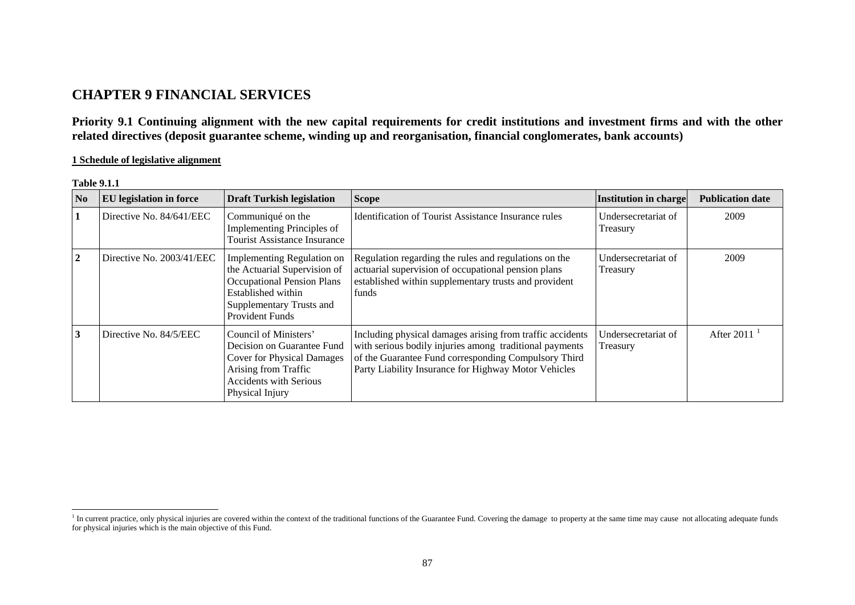# **CHAPTER 9 FINANCIAL SERVICES**

**Priority 9.1 Continuing alignment with the new capital requirements for credit institutions and investment firms and with the other related directives (deposit guarantee scheme, winding up and reorganisation, financial conglomerates, bank accounts)** 

# **1 Schedule of legislative alignment**

| N <sub>0</sub> | <b>EU</b> legislation in force | <b>Draft Turkish legislation</b>                                                                                                                                     | <b>Scope</b>                                                                                                                                                                                                                         | <b>Institution in charge</b>    | <b>Publication date</b> |
|----------------|--------------------------------|----------------------------------------------------------------------------------------------------------------------------------------------------------------------|--------------------------------------------------------------------------------------------------------------------------------------------------------------------------------------------------------------------------------------|---------------------------------|-------------------------|
| 1              | Directive No. 84/641/EEC       | Communiqué on the<br>Implementing Principles of<br><b>Tourist Assistance Insurance</b>                                                                               | Identification of Tourist Assistance Insurance rules                                                                                                                                                                                 | Undersecretariat of<br>Treasury | 2009                    |
| $\overline{2}$ | Directive No. 2003/41/EEC      | Implementing Regulation on<br>the Actuarial Supervision of<br><b>Occupational Pension Plans</b><br>Established within<br>Supplementary Trusts and<br>Provident Funds | Regulation regarding the rules and regulations on the<br>actuarial supervision of occupational pension plans<br>established within supplementary trusts and provident<br>funds                                                       | Undersecretariat of<br>Treasury | 2009                    |
| 3              | Directive No. 84/5/EEC         | Council of Ministers'<br>Decision on Guarantee Fund<br><b>Cover for Physical Damages</b><br>Arising from Traffic<br><b>Accidents with Serious</b><br>Physical Injury | Including physical damages arising from traffic accidents<br>with serious bodily injuries among traditional payments<br>of the Guarantee Fund corresponding Compulsory Third<br>Party Liability Insurance for Highway Motor Vehicles | Undersecretariat of<br>Treasury | After 2011              |

**Table 9.1.1** 

<span id="page-0-0"></span><sup>&</sup>lt;sup>1</sup> In current practice, only physical injuries are covered within the context of the traditional functions of the Guarantee Fund. Covering the damage to property at the same time may cause not allocating adequate funds for physical injuries which is the main objective of this Fund.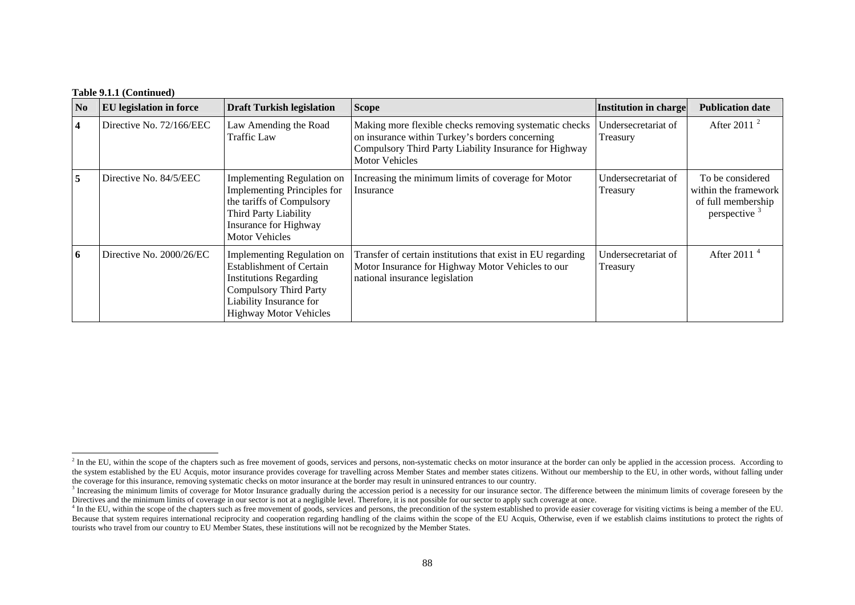| N <sub>0</sub> | <b>EU</b> legislation in force | <b>Draft Turkish legislation</b>                                                                                                                                                            | <b>Scope</b>                                                                                                                                                                                 | <b>Institution in charge</b>    | <b>Publication date</b>                                                         |
|----------------|--------------------------------|---------------------------------------------------------------------------------------------------------------------------------------------------------------------------------------------|----------------------------------------------------------------------------------------------------------------------------------------------------------------------------------------------|---------------------------------|---------------------------------------------------------------------------------|
| 4              | Directive No. 72/166/EEC       | Law Amending the Road<br>Traffic Law                                                                                                                                                        | Making more flexible checks removing systematic checks<br>on insurance within Turkey's borders concerning<br>Compulsory Third Party Liability Insurance for Highway<br><b>Motor Vehicles</b> | Undersecretariat of<br>Treasury | After 2011 $^2$                                                                 |
| 5              | Directive No. 84/5/EEC         | Implementing Regulation on<br><b>Implementing Principles for</b><br>the tariffs of Compulsory<br>Third Party Liability<br>Insurance for Highway<br><b>Motor Vehicles</b>                    | Increasing the minimum limits of coverage for Motor<br>Insurance                                                                                                                             | Undersecretariat of<br>Treasury | To be considered<br>within the framework<br>of full membership<br>perspective 3 |
| 6              | Directive No. 2000/26/EC       | Implementing Regulation on<br><b>Establishment of Certain</b><br><b>Institutions Regarding</b><br><b>Compulsory Third Party</b><br>Liability Insurance for<br><b>Highway Motor Vehicles</b> | Transfer of certain institutions that exist in EU regarding<br>Motor Insurance for Highway Motor Vehicles to our<br>national insurance legislation                                           | Undersecretariat of<br>Treasury | After 2011 $4$                                                                  |

<span id="page-1-0"></span><sup>&</sup>lt;sup>2</sup> In the EU, within the scope of the chapters such as free movement of goods, services and persons, non-systematic checks on motor insurance at the border can only be applied in the accession process. According to the system established by the EU Acquis, motor insurance provides coverage for travelling across Member States and member states citizens. Without our membership to the EU, in other words, without falling under the coverage for this insurance, removing systematic checks on motor insurance at the border may result in uninsured entrances to our country.

<span id="page-1-1"></span><sup>&</sup>lt;sup>3</sup> Increasing the minimum limits of coverage for Motor Insurance gradually during the accession period is a necessity for our insurance sector. The difference between the minimum limits of coverage foreseen by the Directives and the minimum limits of coverage in our sector is not at a negligible level. Therefore, it is not possible for our sector to apply such coverage at once.

<span id="page-1-2"></span><sup>&</sup>lt;sup>4</sup> In the EU, within the scope of the chapters such as free movement of goods, services and persons, the precondition of the system established to provide easier coverage for visiting victims is being a member of the EU. Because that system requires international reciprocity and cooperation regarding handling of the claims within the scope of the EU Acquis, Otherwise, even if we establish claims institutions to protect the rights of tourists who travel from our country to EU Member States, these institutions will not be recognized by the Member States.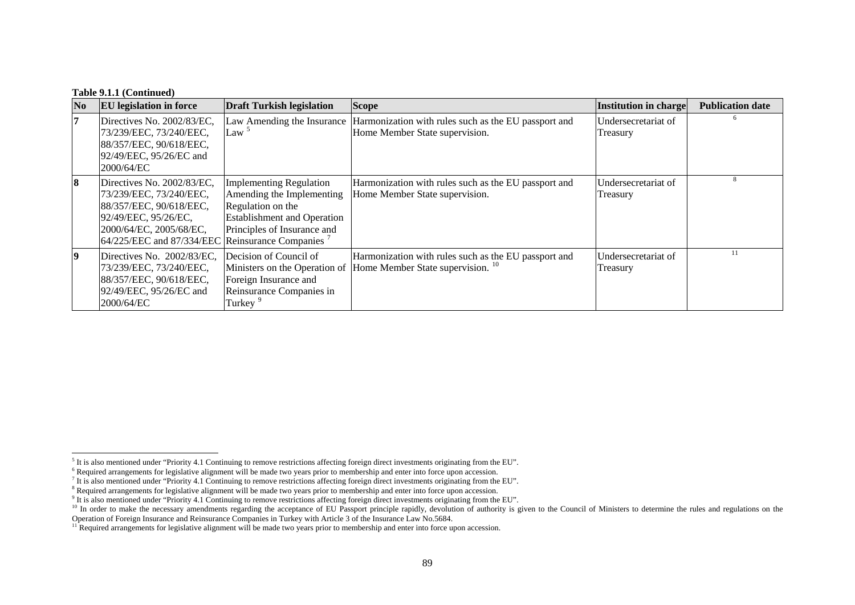| $\bf No$ | <b>EU</b> legislation in force                                                                                                                                                                      | <b>Draft Turkish legislation</b>                                                                                                                      | <b>Scope</b>                                                                                                                       | <b>Institution in charge</b>    | <b>Publication date</b> |
|----------|-----------------------------------------------------------------------------------------------------------------------------------------------------------------------------------------------------|-------------------------------------------------------------------------------------------------------------------------------------------------------|------------------------------------------------------------------------------------------------------------------------------------|---------------------------------|-------------------------|
| 7        | Directives No. 2002/83/EC,<br>73/239/EEC, 73/240/EEC,<br>88/357/EEC, 90/618/EEC,<br>92/49/EEC, 95/26/EC and<br>2000/64/EC                                                                           | Law <sup>5</sup>                                                                                                                                      | Law Amending the Insurance Harmonization with rules such as the EU passport and<br>Home Member State supervision.                  | Undersecretariat of<br>Treasury |                         |
| 8        | Directives No. 2002/83/EC,<br>73/239/EEC, 73/240/EEC,<br>88/357/EEC, 90/618/EEC,<br>92/49/EEC, 95/26/EC,<br>2000/64/EC, 2005/68/EC,<br>64/225/EEC and 87/334/EEC Reinsurance Companies <sup>7</sup> | <b>Implementing Regulation</b><br>Amending the Implementing<br>Regulation on the<br><b>Establishment and Operation</b><br>Principles of Insurance and | Harmonization with rules such as the EU passport and<br>Home Member State supervision.                                             | Undersecretariat of<br>Treasury | 8                       |
| 9        | Directives No. 2002/83/EC,<br>73/239/EEC, 73/240/EEC,<br>88/357/EEC, 90/618/EEC,<br>92/49/EEC, 95/26/EC and<br>2000/64/EC                                                                           | Decision of Council of<br>Foreign Insurance and<br>Reinsurance Companies in<br>Turkey <sup>9</sup>                                                    | Harmonization with rules such as the EU passport and<br>Ministers on the Operation of Home Member State supervision. <sup>10</sup> | Undersecretariat of<br>Treasury | 11                      |

<span id="page-2-0"></span><sup>&</sup>lt;sup>5</sup> It is also mentioned under "Priority 4.1 Continuing to remove restrictions affecting foreign direct investments originating from the EU".

<span id="page-2-1"></span><sup>6</sup> Required arrangements for legislative alignment will be made two years prior to membership and enter into force upon accession.

<sup>7</sup> It is also mentioned under "Priority 4.1 Continuing to remove restrictions affecting foreign direct investments originating from the EU".

<sup>&</sup>lt;sup>8</sup> Required arrangements for legislative alignment will be made two years prior to membership and enter into force upon accession.

<span id="page-2-2"></span><sup>9</sup> It is also mentioned under "Priority 4.1 Continuing to remove restrictions affecting foreign direct investments originating from the EU".

<sup>&</sup>lt;sup>10</sup> In order to make the necessary amendments regarding the acceptance of EU Passport principle rapidly, devolution of authority is given to the Council of Ministers to determine the rules and regulations on the

<span id="page-2-4"></span><span id="page-2-3"></span>Operation of Foreign Insurance and Reinsurance Companies in Turkey with Article 3 of the Insurance Law No.5684.

 $11$  Required arrangements for legislative alignment will be made two years prior to membership and enter into force upon accession.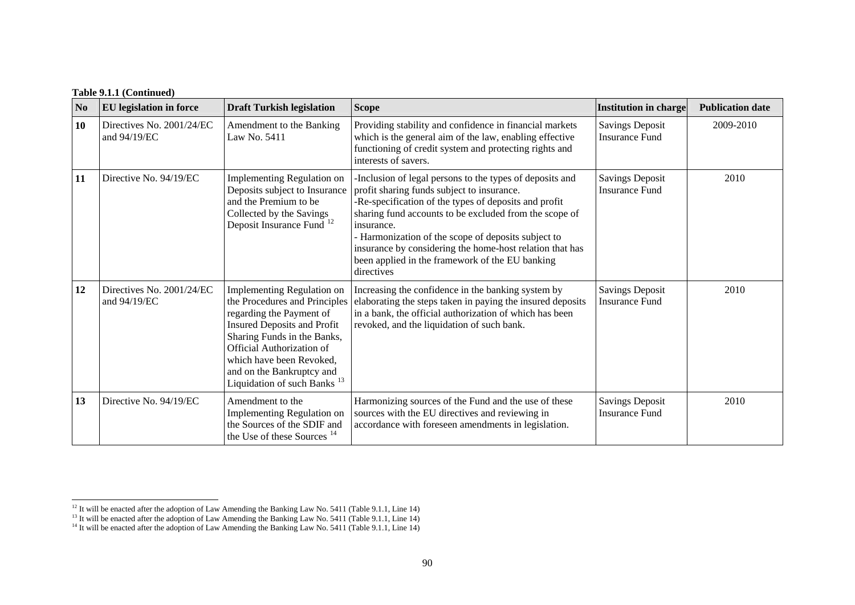| N <sub>0</sub> | <b>EU</b> legislation in force            | <b>Draft Turkish legislation</b>                                                                                                                                                                                                                                                                            | <b>Scope</b>                                                                                                                                                                                                                                                                                                                                                                                                               | <b>Institution in charge</b>                    | <b>Publication date</b> |
|----------------|-------------------------------------------|-------------------------------------------------------------------------------------------------------------------------------------------------------------------------------------------------------------------------------------------------------------------------------------------------------------|----------------------------------------------------------------------------------------------------------------------------------------------------------------------------------------------------------------------------------------------------------------------------------------------------------------------------------------------------------------------------------------------------------------------------|-------------------------------------------------|-------------------------|
| 10             | Directives No. 2001/24/EC<br>and 94/19/EC | Amendment to the Banking<br>Law No. 5411                                                                                                                                                                                                                                                                    | Providing stability and confidence in financial markets<br>which is the general aim of the law, enabling effective<br>functioning of credit system and protecting rights and<br>interests of savers.                                                                                                                                                                                                                       | <b>Savings Deposit</b><br><b>Insurance Fund</b> | 2009-2010               |
| 11             | Directive No. 94/19/EC                    | Implementing Regulation on<br>Deposits subject to Insurance<br>and the Premium to be<br>Collected by the Savings<br>Deposit Insurance Fund <sup>12</sup>                                                                                                                                                    | Inclusion of legal persons to the types of deposits and<br>profit sharing funds subject to insurance.<br>-Re-specification of the types of deposits and profit<br>sharing fund accounts to be excluded from the scope of<br>insurance.<br>- Harmonization of the scope of deposits subject to<br>insurance by considering the home-host relation that has<br>been applied in the framework of the EU banking<br>directives | <b>Savings Deposit</b><br><b>Insurance Fund</b> | 2010                    |
| 12             | Directives No. 2001/24/EC<br>and 94/19/EC | <b>Implementing Regulation on</b><br>the Procedures and Principles<br>regarding the Payment of<br><b>Insured Deposits and Profit</b><br>Sharing Funds in the Banks,<br><b>Official Authorization of</b><br>which have been Revoked,<br>and on the Bankruptcy and<br>Liquidation of such Banks <sup>13</sup> | Increasing the confidence in the banking system by<br>elaborating the steps taken in paying the insured deposits<br>in a bank, the official authorization of which has been<br>revoked, and the liquidation of such bank.                                                                                                                                                                                                  | <b>Savings Deposit</b><br><b>Insurance Fund</b> | 2010                    |
| 13             | Directive No. 94/19/EC                    | Amendment to the<br><b>Implementing Regulation on</b><br>the Sources of the SDIF and<br>the Use of these Sources <sup>14</sup>                                                                                                                                                                              | Harmonizing sources of the Fund and the use of these<br>sources with the EU directives and reviewing in<br>accordance with foreseen amendments in legislation.                                                                                                                                                                                                                                                             | <b>Savings Deposit</b><br><b>Insurance Fund</b> | 2010                    |

<span id="page-3-0"></span><sup>&</sup>lt;sup>12</sup> It will be enacted after the adoption of Law Amending the Banking Law No. 5411 (Table 9.1.1, Line 14)

<span id="page-3-1"></span> $13$  It will be enacted after the adoption of Law Amending the Banking Law No. 5411 (Table 9.1.1, Line 14)

<span id="page-3-2"></span><sup>&</sup>lt;sup>14</sup> It will be enacted after the adoption of Law Amending the Banking Law No. 5411 (Table 9.1.1, Line 14)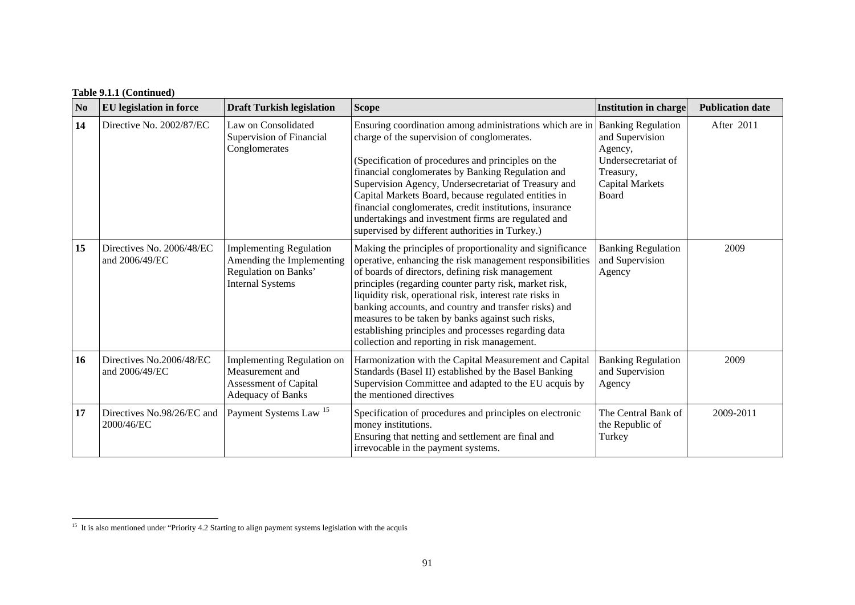| N <sub>0</sub> | <b>EU</b> legislation in force              | <b>Draft Turkish legislation</b>                                                                                 | <b>Scope</b>                                                                                                                                                                                                                                                                                                                                                                                                                                                                                                           | <b>Institution in charge</b>                                                                                                   | <b>Publication date</b> |
|----------------|---------------------------------------------|------------------------------------------------------------------------------------------------------------------|------------------------------------------------------------------------------------------------------------------------------------------------------------------------------------------------------------------------------------------------------------------------------------------------------------------------------------------------------------------------------------------------------------------------------------------------------------------------------------------------------------------------|--------------------------------------------------------------------------------------------------------------------------------|-------------------------|
| 14             | Directive No. 2002/87/EC                    | Law on Consolidated<br>Supervision of Financial<br>Conglomerates                                                 | Ensuring coordination among administrations which are in<br>charge of the supervision of conglomerates.<br>(Specification of procedures and principles on the<br>financial conglomerates by Banking Regulation and<br>Supervision Agency, Undersecretariat of Treasury and<br>Capital Markets Board, because regulated entities in<br>financial conglomerates, credit institutions, insurance<br>undertakings and investment firms are regulated and<br>supervised by different authorities in Turkey.)                | <b>Banking Regulation</b><br>and Supervision<br>Agency,<br>Undersecretariat of<br>Treasury,<br><b>Capital Markets</b><br>Board | After 2011              |
| 15             | Directives No. 2006/48/EC<br>and 2006/49/EC | <b>Implementing Regulation</b><br>Amending the Implementing<br>Regulation on Banks'<br><b>Internal Systems</b>   | Making the principles of proportionality and significance<br>operative, enhancing the risk management responsibilities<br>of boards of directors, defining risk management<br>principles (regarding counter party risk, market risk,<br>liquidity risk, operational risk, interest rate risks in<br>banking accounts, and country and transfer risks) and<br>measures to be taken by banks against such risks,<br>establishing principles and processes regarding data<br>collection and reporting in risk management. | <b>Banking Regulation</b><br>and Supervision<br>Agency                                                                         | 2009                    |
| 16             | Directives No.2006/48/EC<br>and 2006/49/EC  | <b>Implementing Regulation on</b><br>Measurement and<br><b>Assessment of Capital</b><br><b>Adequacy of Banks</b> | Harmonization with the Capital Measurement and Capital<br>Standards (Basel II) established by the Basel Banking<br>Supervision Committee and adapted to the EU acquis by<br>the mentioned directives                                                                                                                                                                                                                                                                                                                   | <b>Banking Regulation</b><br>and Supervision<br>Agency                                                                         | 2009                    |
| 17             | Directives No.98/26/EC and<br>2000/46/EC    | Payment Systems Law <sup>15</sup>                                                                                | Specification of procedures and principles on electronic<br>money institutions.<br>Ensuring that netting and settlement are final and<br>irrevocable in the payment systems.                                                                                                                                                                                                                                                                                                                                           | The Central Bank of<br>the Republic of<br>Turkey                                                                               | 2009-2011               |

<span id="page-4-0"></span><sup>&</sup>lt;sup>15</sup> It is also mentioned under "Priority 4.2 Starting to align payment systems legislation with the acquis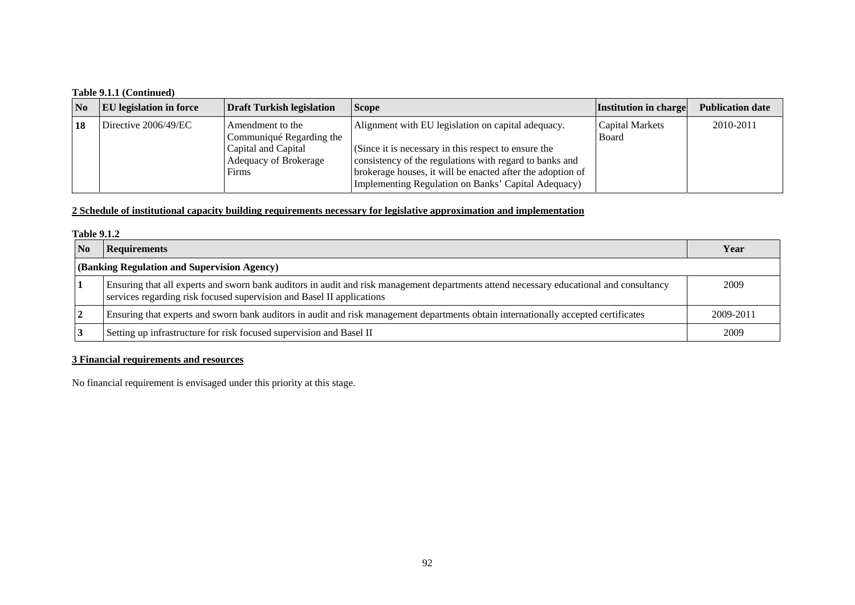| $\overline{N_0}$ | <b>EU</b> legislation in force | <b>Draft Turkish legislation</b>                      | <b>Scope</b>                                                                                                                                                                                                                         | Institution in charge                  | <b>Publication date</b> |
|------------------|--------------------------------|-------------------------------------------------------|--------------------------------------------------------------------------------------------------------------------------------------------------------------------------------------------------------------------------------------|----------------------------------------|-------------------------|
| 18               | Directive 2006/49/EC           | Amendment to the<br>Communiqué Regarding the          | Alignment with EU legislation on capital adequacy.                                                                                                                                                                                   | <b>Capital Markets</b><br><b>Board</b> | 2010-2011               |
|                  |                                | Capital and Capital<br>Adequacy of Brokerage<br>Firms | (Since it is necessary in this respect to ensure the<br>consistency of the regulations with regard to banks and<br>brokerage houses, it will be enacted after the adoption of<br>Implementing Regulation on Banks' Capital Adequacy) |                                        |                         |

### **2 Schedule of institutional capacity building requirements necessary for legislative approximation and implementation**

#### **Table 9.1.2**

| $\overline{\mathbf{N}}$ | <b>Requirements</b>                                                                                                                                                                                              | Year      |  |  |  |  |
|-------------------------|------------------------------------------------------------------------------------------------------------------------------------------------------------------------------------------------------------------|-----------|--|--|--|--|
|                         | (Banking Regulation and Supervision Agency)                                                                                                                                                                      |           |  |  |  |  |
|                         | Ensuring that all experts and sworn bank auditors in audit and risk management departments attend necessary educational and consultancy<br>services regarding risk focused supervision and Basel II applications | 2009      |  |  |  |  |
|                         | Ensuring that experts and sworn bank auditors in audit and risk management departments obtain internationally accepted certificates                                                                              | 2009-2011 |  |  |  |  |
|                         | Setting up infrastructure for risk focused supervision and Basel II                                                                                                                                              | 2009      |  |  |  |  |

# **3 Financial requirements and resources**

No financial requirement is envisaged under this priority at this stage.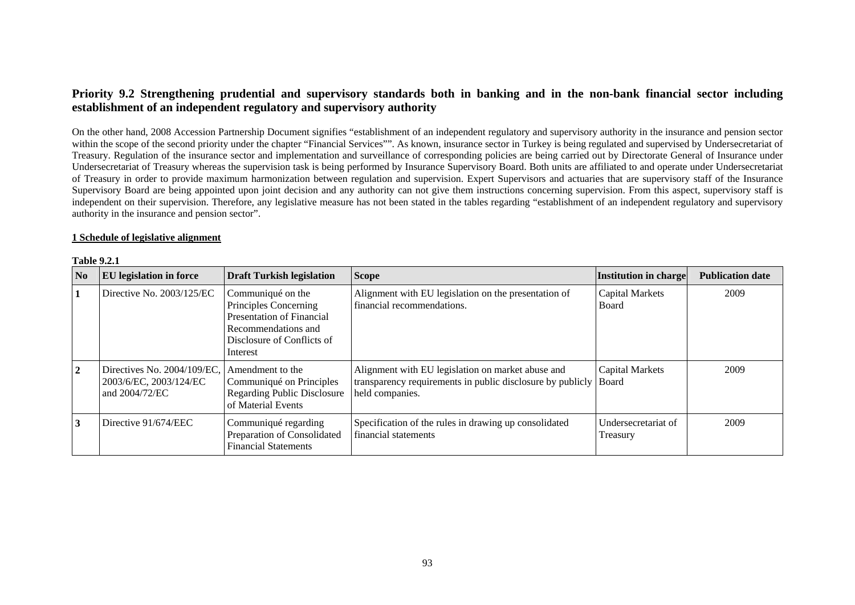# **Priority 9.2 Strengthening prudential and supervisory standards both in banking and in the non-bank financial sector including establishment of an independent regulatory and supervisory authority**

On the other hand, 2008 Accession Partnership Document signifies "establishment of an independent regulatory and supervisory authority in the insurance and pension sector within the scope of the second priority under the chapter "Financial Services"". As known, insurance sector in Turkey is being regulated and supervised by Undersecretariat of Treasury. Regulation of the insurance sector and implementation and surveillance of corresponding policies are being carried out by Directorate General of Insurance under Undersecretariat of Treasury whereas the supervision task is being performed by Insurance Supervisory Board. Both units are affiliated to and operate under Undersecretariat of Treasury in order to provide maximum harmonization between regulation and supervision. Expert Supervisors and actuaries that are supervisory staff of the Insurance Supervisory Board are being appointed upon joint decision and any authority can not give them instructions concerning supervision. From this aspect, supervisory staff is independent on their supervision. Therefore, any legislative measure has not been stated in the tables regarding "establishment of an independent regulatory and supervisory authority in the insurance and pension sector".

#### **1 Schedule of legislative alignment**

### **Table 9.2.1**

| $\bf No$       | <b>EU</b> legislation in force                                          | <b>Draft Turkish legislation</b>                                                                                                                | <b>Scope</b>                                                                                                                       | Institution in charge                  | <b>Publication date</b> |
|----------------|-------------------------------------------------------------------------|-------------------------------------------------------------------------------------------------------------------------------------------------|------------------------------------------------------------------------------------------------------------------------------------|----------------------------------------|-------------------------|
|                | Directive No. $2003/125/EC$                                             | Communiqué on the<br>Principles Concerning<br><b>Presentation of Financial</b><br>Recommendations and<br>Disclosure of Conflicts of<br>Interest | Alignment with EU legislation on the presentation of<br>financial recommendations.                                                 | <b>Capital Markets</b><br><b>Board</b> | 2009                    |
| $\overline{2}$ | Directives No. 2004/109/EC,<br>2003/6/EC, 2003/124/EC<br>and 2004/72/EC | Amendment to the<br>Communiqué on Principles<br><b>Regarding Public Disclosure</b><br>of Material Events                                        | Alignment with EU legislation on market abuse and<br>transparency requirements in public disclosure by publicly<br>held companies. | <b>Capital Markets</b><br><b>Board</b> | 2009                    |
| 3              | Directive 91/674/EEC                                                    | Communiqué regarding<br>Preparation of Consolidated<br><b>Financial Statements</b>                                                              | Specification of the rules in drawing up consolidated<br>financial statements                                                      | Undersecretariat of<br>Treasury        | 2009                    |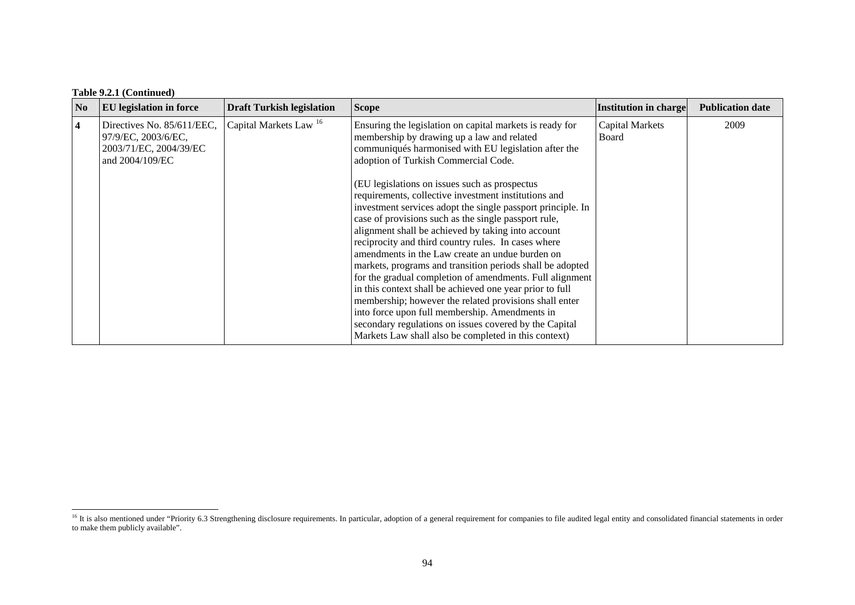| N <sub>o</sub>          | <b>EU</b> legislation in force                                                                 | <b>Draft Turkish legislation</b>  | <b>Scope</b>                                                                                                                                                                                                                                                                                                                                                                                                                                                                                                                                                                                                                                                                                                                                                                                                     | Institution in charge           | <b>Publication date</b> |
|-------------------------|------------------------------------------------------------------------------------------------|-----------------------------------|------------------------------------------------------------------------------------------------------------------------------------------------------------------------------------------------------------------------------------------------------------------------------------------------------------------------------------------------------------------------------------------------------------------------------------------------------------------------------------------------------------------------------------------------------------------------------------------------------------------------------------------------------------------------------------------------------------------------------------------------------------------------------------------------------------------|---------------------------------|-------------------------|
| $\overline{\mathbf{4}}$ | Directives No. 85/611/EEC,<br>97/9/EC, 2003/6/EC,<br>2003/71/EC, 2004/39/EC<br>and 2004/109/EC | Capital Markets Law <sup>16</sup> | Ensuring the legislation on capital markets is ready for<br>membership by drawing up a law and related<br>communiqués harmonised with EU legislation after the<br>adoption of Turkish Commercial Code.                                                                                                                                                                                                                                                                                                                                                                                                                                                                                                                                                                                                           | <b>Capital Markets</b><br>Board | 2009                    |
|                         |                                                                                                |                                   | (EU legislations on issues such as prospectus)<br>requirements, collective investment institutions and<br>investment services adopt the single passport principle. In<br>case of provisions such as the single passport rule,<br>alignment shall be achieved by taking into account<br>reciprocity and third country rules. In cases where<br>amendments in the Law create an undue burden on<br>markets, programs and transition periods shall be adopted<br>for the gradual completion of amendments. Full alignment<br>in this context shall be achieved one year prior to full<br>membership; however the related provisions shall enter<br>into force upon full membership. Amendments in<br>secondary regulations on issues covered by the Capital<br>Markets Law shall also be completed in this context) |                                 |                         |

<span id="page-7-0"></span><sup>&</sup>lt;sup>16</sup> It is also mentioned under "Priority 6.3 Strengthening disclosure requirements. In particular, adoption of a general requirement for companies to file audited legal entity and consolidated financial statements in orde to make them publicly available".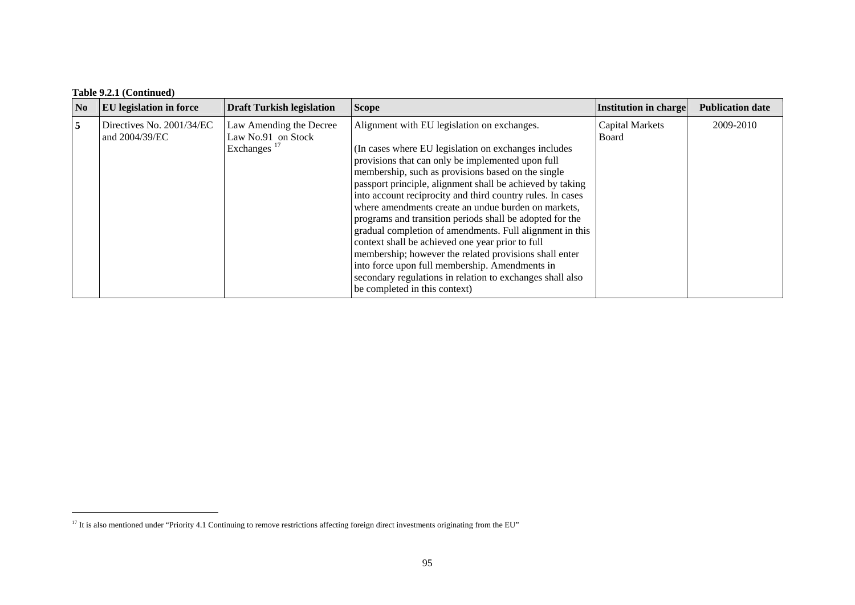| N <sub>0</sub> | <b>EU</b> legislation in force              | <b>Draft Turkish legislation</b>                                         | <b>Scope</b>                                                                                                                                                                                                                                                                                                                                                                                                                                                                                                                                                                                                                                                                                                                                                                            | Institution in charge           | <b>Publication date</b> |
|----------------|---------------------------------------------|--------------------------------------------------------------------------|-----------------------------------------------------------------------------------------------------------------------------------------------------------------------------------------------------------------------------------------------------------------------------------------------------------------------------------------------------------------------------------------------------------------------------------------------------------------------------------------------------------------------------------------------------------------------------------------------------------------------------------------------------------------------------------------------------------------------------------------------------------------------------------------|---------------------------------|-------------------------|
| 5              | Directives No. 2001/34/EC<br>and 2004/39/EC | Law Amending the Decree<br>Law No.91 on Stock<br>Exchanges <sup>17</sup> | Alignment with EU legislation on exchanges.<br>(In cases where EU legislation on exchanges includes)<br>provisions that can only be implemented upon full<br>membership, such as provisions based on the single<br>passport principle, alignment shall be achieved by taking<br>into account reciprocity and third country rules. In cases<br>where amendments create an undue burden on markets,<br>programs and transition periods shall be adopted for the<br>gradual completion of amendments. Full alignment in this<br>context shall be achieved one year prior to full<br>membership; however the related provisions shall enter<br>into force upon full membership. Amendments in<br>secondary regulations in relation to exchanges shall also<br>be completed in this context) | <b>Capital Markets</b><br>Board | 2009-2010               |

<span id="page-8-0"></span><sup>&</sup>lt;sup>17</sup> It is also mentioned under "Priority 4.1 Continuing to remove restrictions affecting foreign direct investments originating from the EU"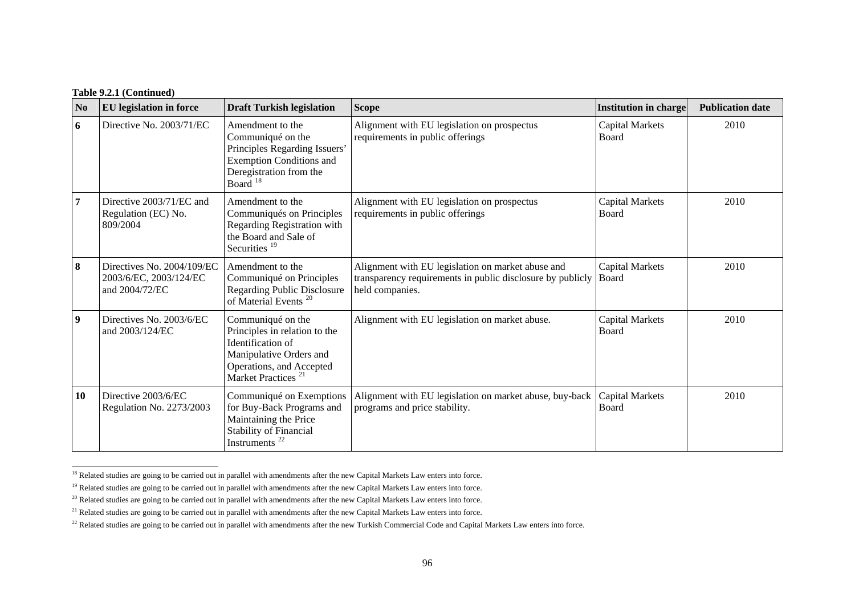| N <sub>0</sub>   | <b>EU</b> legislation in force                                         | <b>Draft Turkish legislation</b>                                                                                                                                 | <b>Scope</b>                                                                                                                       | <b>Institution in charge</b>    | <b>Publication date</b> |
|------------------|------------------------------------------------------------------------|------------------------------------------------------------------------------------------------------------------------------------------------------------------|------------------------------------------------------------------------------------------------------------------------------------|---------------------------------|-------------------------|
| 6                | Directive No. 2003/71/EC                                               | Amendment to the<br>Communiqué on the<br>Principles Regarding Issuers'<br><b>Exemption Conditions and</b><br>Deregistration from the<br>Board <sup>18</sup>      | Alignment with EU legislation on prospectus<br>requirements in public offerings                                                    | <b>Capital Markets</b><br>Board | 2010                    |
| 7                | Directive 2003/71/EC and<br>Regulation (EC) No.<br>809/2004            | Amendment to the<br>Communiqués on Principles<br>Regarding Registration with<br>the Board and Sale of<br>Securities <sup>19</sup>                                | Alignment with EU legislation on prospectus<br>requirements in public offerings                                                    | <b>Capital Markets</b><br>Board | 2010                    |
| 8                | Directives No. 2004/109/EC<br>2003/6/EC, 2003/124/EC<br>and 2004/72/EC | Amendment to the<br>Communiqué on Principles<br><b>Regarding Public Disclosure</b><br>of Material Events <sup>20</sup>                                           | Alignment with EU legislation on market abuse and<br>transparency requirements in public disclosure by publicly<br>held companies. | <b>Capital Markets</b><br>Board | 2010                    |
| $\boldsymbol{9}$ | Directives No. 2003/6/EC<br>and 2003/124/EC                            | Communiqué on the<br>Principles in relation to the<br>Identification of<br>Manipulative Orders and<br>Operations, and Accepted<br>Market Practices <sup>21</sup> | Alignment with EU legislation on market abuse.                                                                                     | <b>Capital Markets</b><br>Board | 2010                    |
| 10               | Directive 2003/6/EC<br>Regulation No. 2273/2003                        | Communiqué on Exemptions<br>for Buy-Back Programs and<br>Maintaining the Price<br><b>Stability of Financial</b><br>Instruments <sup>22</sup>                     | Alignment with EU legislation on market abuse, buy-back<br>programs and price stability.                                           | <b>Capital Markets</b><br>Board | 2010                    |

<span id="page-9-0"></span><sup>&</sup>lt;sup>18</sup> Related studies are going to be carried out in parallel with amendments after the new Capital Markets Law enters into force.

<span id="page-9-1"></span><sup>&</sup>lt;sup>19</sup> Related studies are going to be carried out in parallel with amendments after the new Capital Markets Law enters into force.

<span id="page-9-2"></span> $20$  Related studies are going to be carried out in parallel with amendments after the new Capital Markets Law enters into force.

<span id="page-9-3"></span><sup>&</sup>lt;sup>21</sup> Related studies are going to be carried out in parallel with amendments after the new Capital Markets Law enters into force.

<span id="page-9-4"></span><sup>&</sup>lt;sup>22</sup> Related studies are going to be carried out in parallel with amendments after the new Turkish Commercial Code and Capital Markets Law enters into force.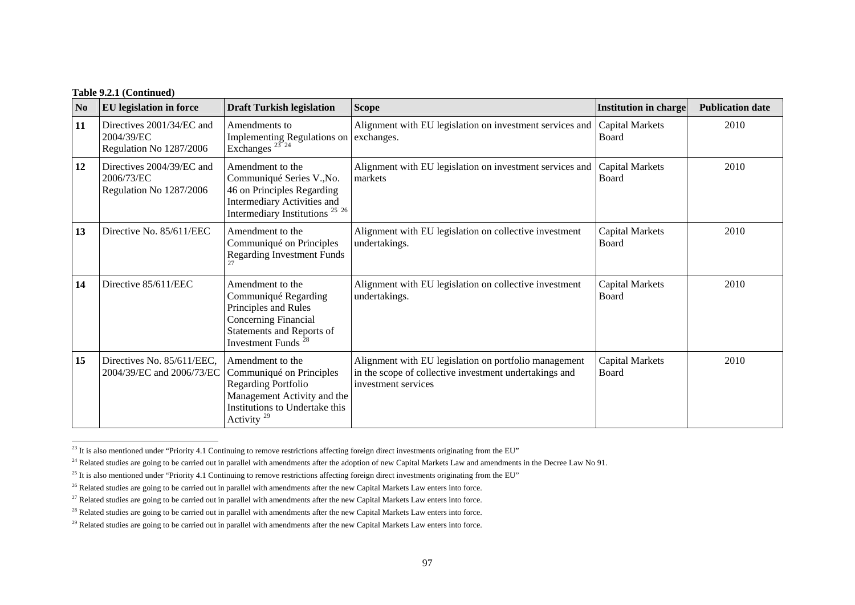| N <sub>0</sub> | <b>EU</b> legislation in force                                     | <b>Draft Turkish legislation</b>                                                                                                                                    | <b>Scope</b>                                                                                                                           | Institution in charge           | <b>Publication date</b> |
|----------------|--------------------------------------------------------------------|---------------------------------------------------------------------------------------------------------------------------------------------------------------------|----------------------------------------------------------------------------------------------------------------------------------------|---------------------------------|-------------------------|
| 11             | Directives 2001/34/EC and<br>2004/39/EC<br>Regulation No 1287/2006 | Amendments to<br>Implementing Regulations on exchanges.<br>Exchanges $^{23}$ $^{24}$                                                                                | Alignment with EU legislation on investment services and                                                                               | <b>Capital Markets</b><br>Board | 2010                    |
| 12             | Directives 2004/39/EC and<br>2006/73/EC<br>Regulation No 1287/2006 | Amendment to the<br>Communiqué Series V., No.<br>46 on Principles Regarding<br>Intermediary Activities and<br>Intermediary Institutions <sup>25</sup> <sup>26</sup> | Alignment with EU legislation on investment services and<br>markets                                                                    | <b>Capital Markets</b><br>Board | 2010                    |
| 13             | Directive No. 85/611/EEC                                           | Amendment to the<br>Communiqué on Principles<br><b>Regarding Investment Funds</b>                                                                                   | Alignment with EU legislation on collective investment<br>undertakings.                                                                | <b>Capital Markets</b><br>Board | 2010                    |
| 14             | Directive 85/611/EEC                                               | Amendment to the<br>Communiqué Regarding<br>Principles and Rules<br><b>Concerning Financial</b><br>Statements and Reports of<br>Investment Funds <sup>28</sup>      | Alignment with EU legislation on collective investment<br>undertakings.                                                                | <b>Capital Markets</b><br>Board | 2010                    |
| 15             | Directives No. 85/611/EEC,<br>2004/39/EC and 2006/73/EC            | Amendment to the<br>Communiqué on Principles<br>Regarding Portfolio<br>Management Activity and the<br>Institutions to Undertake this<br>Activity $^{29}$            | Alignment with EU legislation on portfolio management<br>in the scope of collective investment undertakings and<br>investment services | <b>Capital Markets</b><br>Board | 2010                    |

<span id="page-10-0"></span><sup>&</sup>lt;sup>23</sup> It is also mentioned under "Priority 4.1 Continuing to remove restrictions affecting foreign direct investments originating from the EU"

<span id="page-10-1"></span><sup>&</sup>lt;sup>24</sup> Related studies are going to be carried out in parallel with amendments after the adoption of new Capital Markets Law and amendments in the Decree Law No 91.

<span id="page-10-2"></span><sup>&</sup>lt;sup>25</sup> It is also mentioned under "Priority 4.1 Continuing to remove restrictions affecting foreign direct investments originating from the EU"

<span id="page-10-3"></span><sup>&</sup>lt;sup>26</sup> Related studies are going to be carried out in parallel with amendments after the new Capital Markets Law enters into force.

<span id="page-10-4"></span><sup>&</sup>lt;sup>27</sup> Related studies are going to be carried out in parallel with amendments after the new Capital Markets Law enters into force.

<span id="page-10-5"></span><sup>&</sup>lt;sup>28</sup> Related studies are going to be carried out in parallel with amendments after the new Capital Markets Law enters into force.

<span id="page-10-6"></span> $^{29}$  Related studies are going to be carried out in parallel with amendments after the new Capital Markets Law enters into force.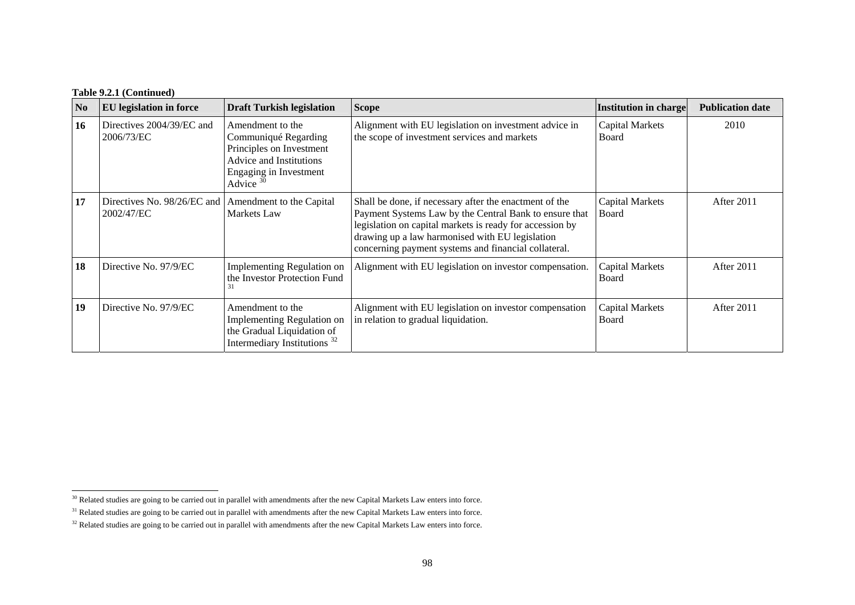| N <sub>0</sub> | <b>EU</b> legislation in force            | <b>Draft Turkish legislation</b>                                                                                                                | <b>Scope</b>                                                                                                                                                                                                                                                                            | <b>Institution in charge</b>    | <b>Publication date</b> |
|----------------|-------------------------------------------|-------------------------------------------------------------------------------------------------------------------------------------------------|-----------------------------------------------------------------------------------------------------------------------------------------------------------------------------------------------------------------------------------------------------------------------------------------|---------------------------------|-------------------------|
| 16             | Directives 2004/39/EC and<br>2006/73/EC   | Amendment to the<br>Communiqué Regarding<br>Principles on Investment<br>Advice and Institutions<br><b>Engaging in Investment</b><br>Advice $30$ | Alignment with EU legislation on investment advice in<br>the scope of investment services and markets                                                                                                                                                                                   | <b>Capital Markets</b><br>Board | 2010                    |
| 17             | Directives No. 98/26/EC and<br>2002/47/EC | Amendment to the Capital<br>Markets Law                                                                                                         | Shall be done, if necessary after the enactment of the<br>Payment Systems Law by the Central Bank to ensure that<br>legislation on capital markets is ready for accession by<br>drawing up a law harmonised with EU legislation<br>concerning payment systems and financial collateral. | <b>Capital Markets</b><br>Board | After 2011              |
| 18             | Directive No. 97/9/EC                     | Implementing Regulation on<br>the Investor Protection Fund                                                                                      | Alignment with EU legislation on investor compensation.                                                                                                                                                                                                                                 | Capital Markets<br>Board        | After 2011              |
| 19             | Directive No. 97/9/EC                     | Amendment to the<br><b>Implementing Regulation on</b><br>the Gradual Liquidation of<br>Intermediary Institutions <sup>32</sup>                  | Alignment with EU legislation on investor compensation<br>in relation to gradual liquidation.                                                                                                                                                                                           | <b>Capital Markets</b><br>Board | After 2011              |

<span id="page-11-0"></span><sup>&</sup>lt;sup>30</sup> Related studies are going to be carried out in parallel with amendments after the new Capital Markets Law enters into force.

<span id="page-11-1"></span><sup>&</sup>lt;sup>31</sup> Related studies are going to be carried out in parallel with amendments after the new Capital Markets Law enters into force.

<span id="page-11-2"></span><sup>&</sup>lt;sup>32</sup> Related studies are going to be carried out in parallel with amendments after the new Capital Markets Law enters into force.